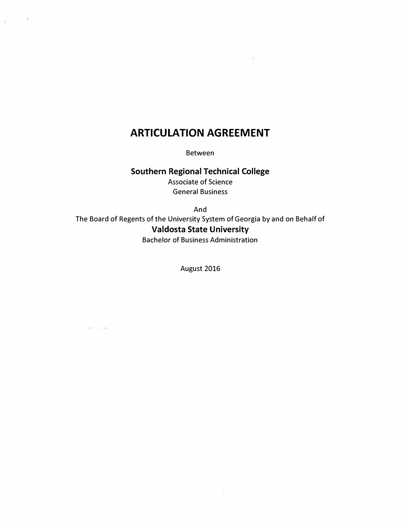# **ARTICULATION AGREEMENT**

 $\bar{g}_2$ 

 $\frac{1}{\sqrt{2}}$ 

Between

# **Southern Regional Technical College**

Associate of Science General Business

And The Board of Regents of the University System of Georgia by and on Behalf of **Valdosta State University**  Bachelor of Business Administration

August 2016

 $\omega$ 

 $\sigma\sigma=-\pi/20$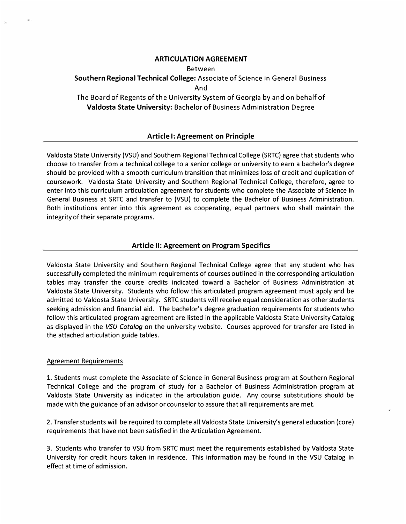#### **ARTICULATION AGREEMENT**

Between

## **Southern Regional Technical College:** Associate of Science in General Business And The Board of Regents of the University System of Georgia by and on behalf of

**Valdosta State University:** Bachelor of Business Administration Degree

## **Article I: Agreement on Principle**

Valdosta State University (VSU) and Southern Regional Technical College (SRTC) agree that students who choose to transfer from a technical college to a senior college or university to earn a bachelor's degree should be provided with a smooth curriculum transition that minimizes loss of credit and duplication of coursework. Valdosta State University and Southern Regional Technical College, therefore, agree to enter into this curriculum articulation agreement for students who complete the Associate of Science in General Business at SRTC and transfer to (VSU) to complete the Bachelor of Business Administration. Both institutions enter into this agreement as cooperating, equal partners who shall maintain the integrity of their separate programs.

## **Article II: Agreement on Program Specifics**

Valdosta State University and Southern Regional Technical College agree that any student who has successfully completed the minimum requirements of courses outlined in the corresponding articulation tables may transfer the course credits indicated toward a Bachelor of Business Administration at Valdosta State University. Students who follow this articulated program agreement must apply and be admitted to Valdosta State University. SRTC students will receive equal consideration as other students seeking admission and financial aid. The bachelor's degree graduation requirements for students who follow this articulated program agreement are listed in the applicable Valdosta State University Catalog as displayed in the *VSU Catalog* on the university website. Courses approved for transfer are listed in the attached articulation guide tables.

#### Agreement Requirements

1. Students must complete the Associate of Science in General Business program at Southern Regional Technical College and the program of study for a Bachelor of Business Administration program at Valdosta State University as indicated in the articulation guide. Any course substitutions should be made with the guidance of an advisor or counselor to assure that all requirements are met.

2. Transfer students will be required to complete all Valdosta State University's general education (core) requirements that have not been satisfied in the Articulation Agreement.

3. Students who transfer to VSU from SRTC must meet the requirements established by Valdosta State University for credit hours taken in residence. This information may be found in the VSU Catalog in effect at time of admission.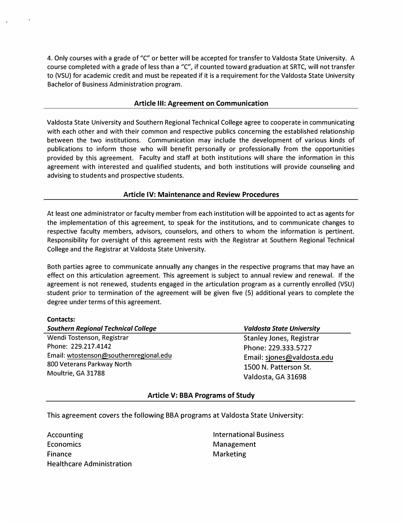4. Only courses with a grade of "C" or better will be accepted for transfer to Valdosta State University. A course completed with a grade of less than a "C", if counted toward graduation at SRTC, will not transfer to (VSU) for academic credit and must be repeated if it is a requirement for the Valdosta State University Bachelor of Business Administration program.

#### **Article Ill: Agreement on Communication**

Valdosta State University and Southern Regional Technical College agree to cooperate in communicating with each other and with their common and respective publics concerning the established relationship between the two institutions. Communication may include the development of various kinds of publications to inform those who will benefit personally or professionally from the opportunities provided by this agreement. Faculty and staff at both institutions will share the information in this agreement with interested and qualified students, and both institutions will provide counseling and advising to students and prospective students.

#### **Article IV: Maintenance and Review Procedures**

At least one administrator or faculty member from each institution will be appointed to act as agents for the implementation of this agreement, to speak for the institutions, and to communicate changes to respective faculty members, advisors, counselors, and others to whom the information is pertinent. Responsibility for oversight of this agreement rests with the Registrar at Southern Regional Technical College and the Registrar at Valdosta State University.

Both parties agree to communicate annually any changes in the respective programs that may have an effect on this articulation agreement. This agreement is subject to annual review and renewal. If the agreement is not renewed, students engaged in the articulation program as a currently enrolled (VSU) student prior to termination of the agreement will be given five (5) additional years to complete the degree under terms of this agreement.

#### **Contacts:**

| <b>Southern Regional Technical College</b> | <b>Valdosta State University</b> |  |  |  |
|--------------------------------------------|----------------------------------|--|--|--|
| Wendi Tostenson, Registrar                 | <b>Stanley Jones, Registrar</b>  |  |  |  |
| Phone: 229.217.4142                        | Phone: 229.333.5727              |  |  |  |
| Email: wtostenson@southernregional.edu     | Email: sjones@valdosta.edu       |  |  |  |
| 800 Veterans Parkway North                 | 1500 N. Patterson St.            |  |  |  |
| Moultrie, GA 31788                         | Valdosta, GA 31698               |  |  |  |

#### **Article V: BBA Programs of Study**

This agreement covers the following BBA programs at Valdosta State University:

Accounting **Economics** Finance Healthcare Administration International Business Management **Marketing**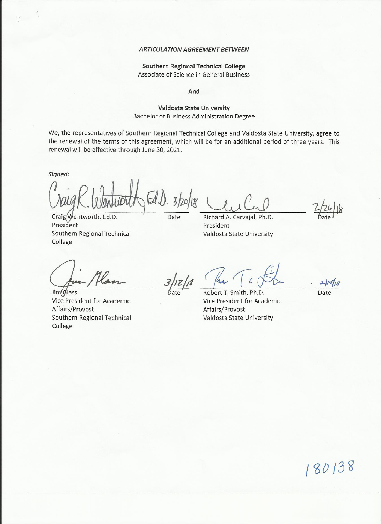#### **ARTICULATION AGREEMENT BETWEEN**

#### **Southern Regional Technical College** Associate of Science in General Business

And

#### **Valdosta State University** Bachelor of Business Administration Degree

We, the representatives of Southern Regional Technical College and Valdosta State University, agree to the renewal of the terms of this agreement, which will be for an additional period of three years. This renewal will be effective through June 30, 2021.

Signed:

President

College

Date Richard A. Carvaial, President Valdosta State University

Craig Wentworth, Ed.D.

Southern Regional Technical

Jim(Glass Vice President for Academic Affairs/Provost Southern Regional Technical College

Ph.D.

Robert T. Smith, Ph.D. Vice President for Academic Affairs/Provost Valdosta State University

Date

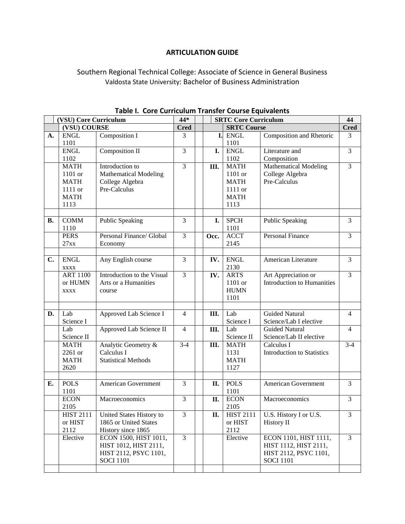## **ARTICULATION GUIDE**

# Southern Regional Technical College: Associate of Science in General Business Valdosta State University: Bachelor of Business Administration

|           |                                       |                                   | Table I. Core curriculum fransier course Equivalents<br>44*<br><b>SRTC Core Curriculum</b> |  |      |                    |                                                 |                   |
|-----------|---------------------------------------|-----------------------------------|--------------------------------------------------------------------------------------------|--|------|--------------------|-------------------------------------------------|-------------------|
|           | (VSU) Core Curriculum<br>(VSU) COURSE |                                   |                                                                                            |  |      | <b>SRTC Course</b> |                                                 | 44<br><b>Cred</b> |
| A.        | <b>ENGL</b>                           | Composition I                     | <b>Cred</b><br>3                                                                           |  | I.   | <b>ENGL</b>        | Composition and Rhetoric                        | 3                 |
|           | 1101                                  |                                   |                                                                                            |  |      | 1101               |                                                 |                   |
|           | <b>ENGL</b>                           | Composition II                    | $\overline{3}$                                                                             |  | I.   | <b>ENGL</b>        | Literature and                                  | $\overline{3}$    |
|           | 1102                                  |                                   |                                                                                            |  |      | 1102               | Composition                                     |                   |
|           | <b>MATH</b>                           | Introduction to                   | $\overline{3}$                                                                             |  | Ш.   | <b>MATH</b>        | <b>Mathematical Modeling</b>                    | $\overline{3}$    |
|           | 1101 or                               | <b>Mathematical Modeling</b>      |                                                                                            |  |      | 1101 or            | College Algebra                                 |                   |
|           | <b>MATH</b>                           | College Algebra                   |                                                                                            |  |      | <b>MATH</b>        | Pre-Calculus                                    |                   |
|           | 1111 or                               | Pre-Calculus                      |                                                                                            |  |      | 1111 or            |                                                 |                   |
|           | <b>MATH</b>                           |                                   |                                                                                            |  |      | <b>MATH</b>        |                                                 |                   |
|           | 1113                                  |                                   |                                                                                            |  |      | 1113               |                                                 |                   |
|           |                                       |                                   |                                                                                            |  |      |                    |                                                 |                   |
| <b>B.</b> | <b>COMM</b>                           | <b>Public Speaking</b>            | 3                                                                                          |  | I.   | <b>SPCH</b>        | <b>Public Speaking</b>                          | 3                 |
|           | 1110                                  |                                   |                                                                                            |  |      | 1101               |                                                 |                   |
|           | <b>PERS</b>                           | Personal Finance/ Global          | 3                                                                                          |  | Occ. | <b>ACCT</b>        | Personal Finance                                | 3                 |
|           | 27xx                                  | Economy                           |                                                                                            |  |      | 2145               |                                                 |                   |
|           |                                       |                                   |                                                                                            |  |      |                    |                                                 |                   |
| C.        | <b>ENGL</b>                           | Any English course                | 3                                                                                          |  | IV.  | <b>ENGL</b>        | American Literature                             | 3                 |
|           | <b>XXXX</b>                           |                                   |                                                                                            |  |      | 2130               |                                                 |                   |
|           | <b>ART 1100</b>                       | Introduction to the Visual        | $\overline{3}$                                                                             |  | IV.  | <b>ARTS</b>        | Art Appreciation or                             | $\overline{3}$    |
|           | or HUMN                               | Arts or a Humanities              |                                                                                            |  |      | 1101 or            | <b>Introduction to Humanities</b>               |                   |
|           | <b>XXXX</b>                           | course                            |                                                                                            |  |      | <b>HUMN</b>        |                                                 |                   |
|           |                                       |                                   |                                                                                            |  |      | 1101               |                                                 |                   |
|           |                                       |                                   |                                                                                            |  |      |                    |                                                 |                   |
| D.        | Lab                                   | Approved Lab Science I            | $\overline{4}$                                                                             |  | Ш.   | Lab                | <b>Guided Natural</b>                           | $\overline{4}$    |
|           | Science I<br>Lab                      |                                   | $\overline{4}$                                                                             |  |      | Science I<br>Lab   | Science/Lab I elective<br><b>Guided Natural</b> | $\overline{4}$    |
|           |                                       | Approved Lab Science II           |                                                                                            |  | Ш.   | Science II         |                                                 |                   |
|           | Science II<br><b>MATH</b>             |                                   | $3-4$                                                                                      |  |      | <b>MATH</b>        | Science/Lab II elective<br>Calculus I           | $3-4$             |
|           | 2261 or                               | Analytic Geometry &<br>Calculus I |                                                                                            |  | Ш.   | 1131               | <b>Introduction to Statistics</b>               |                   |
|           | <b>MATH</b>                           | <b>Statistical Methods</b>        |                                                                                            |  |      | <b>MATH</b>        |                                                 |                   |
|           | 2620                                  |                                   |                                                                                            |  |      | 1127               |                                                 |                   |
|           |                                       |                                   |                                                                                            |  |      |                    |                                                 |                   |
| Е.        | <b>POLS</b>                           | <b>American Government</b>        | 3                                                                                          |  | П.   | <b>POLS</b>        | <b>American Government</b>                      | 3                 |
|           | 1101                                  |                                   |                                                                                            |  |      | 1101               |                                                 |                   |
|           | <b>ECON</b>                           | Macroeconomics                    | 3                                                                                          |  | П.   | <b>ECON</b>        | Macroeconomics                                  | 3                 |
|           | 2105                                  |                                   |                                                                                            |  |      | 2105               |                                                 |                   |
|           | <b>HIST 2111</b>                      | United States History to          | 3                                                                                          |  | П.   | <b>HIST 2111</b>   | U.S. History I or U.S.                          | 3                 |
|           | or HIST                               | 1865 or United States             |                                                                                            |  |      | or HIST            | History II                                      |                   |
|           | 2112                                  | History since 1865                |                                                                                            |  |      | 2112               |                                                 |                   |
|           | Elective                              | ECON 1500, HIST 1011,             | $\overline{3}$                                                                             |  |      | Elective           | ECON 1101, HIST 1111,                           | $\overline{3}$    |
|           |                                       | HIST 1012, HIST 2111,             |                                                                                            |  |      |                    | HIST 1112, HIST 2111,                           |                   |
|           |                                       | HIST 2112, PSYC 1101,             |                                                                                            |  |      |                    | HIST 2112, PSYC 1101,                           |                   |
|           |                                       | <b>SOCI 1101</b>                  |                                                                                            |  |      |                    | <b>SOCI 1101</b>                                |                   |
|           |                                       |                                   |                                                                                            |  |      |                    |                                                 |                   |
|           |                                       |                                   |                                                                                            |  |      |                    |                                                 |                   |

**Table I. Core Curriculum Transfer Course Equivalents**